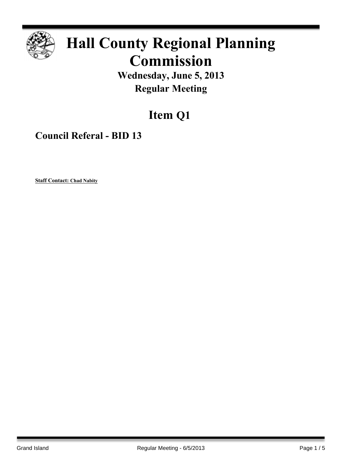

# **Hall County Regional Planning Commission**

**Wednesday, June 5, 2013 Regular Meeting**

# **Item Q1**

**Council Referal - BID 13**

**Staff Contact: Chad Nabity**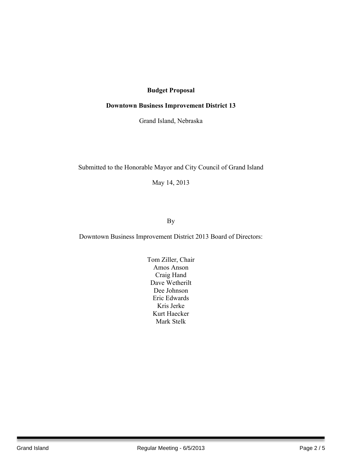### **Budget Proposal**

#### **Downtown Business Improvement District 13**

Grand Island, Nebraska

#### Submitted to the Honorable Mayor and City Council of Grand Island

May 14, 2013

## By

Downtown Business Improvement District 2013 Board of Directors:

Tom Ziller, Chair Amos Anson Craig Hand Dave Wetherilt Dee Johnson Eric Edwards Kris Jerke Kurt Haecker Mark Stelk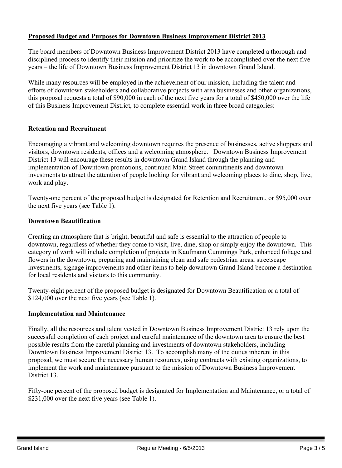#### **Proposed Budget and Purposes for Downtown Business Improvement District 2013**

The board members of Downtown Business Improvement District 2013 have completed a thorough and disciplined process to identify their mission and prioritize the work to be accomplished over the next five years – the life of Downtown Business Improvement District 13 in downtown Grand Island.

While many resources will be employed in the achievement of our mission, including the talent and efforts of downtown stakeholders and collaborative projects with area businesses and other organizations, this proposal requests a total of \$90,000 in each of the next five years for a total of \$450,000 over the life of this Business Improvement District, to complete essential work in three broad categories:

#### **Retention and Recruitment**

Encouraging a vibrant and welcoming downtown requires the presence of businesses, active shoppers and visitors, downtown residents, offices and a welcoming atmosphere. Downtown Business Improvement District 13 will encourage these results in downtown Grand Island through the planning and implementation of Downtown promotions, continued Main Street commitments and downtown investments to attract the attention of people looking for vibrant and welcoming places to dine, shop, live, work and play.

Twenty-one percent of the proposed budget is designated for Retention and Recruitment, or \$95,000 over the next five years (see Table 1).

#### **Downtown Beautification**

Creating an atmosphere that is bright, beautiful and safe is essential to the attraction of people to downtown, regardless of whether they come to visit, live, dine, shop or simply enjoy the downtown. This category of work will include completion of projects in Kaufmann Cummings Park, enhanced foliage and flowers in the downtown, preparing and maintaining clean and safe pedestrian areas, streetscape investments, signage improvements and other items to help downtown Grand Island become a destination for local residents and visitors to this community.

Twenty-eight percent of the proposed budget is designated for Downtown Beautification or a total of \$124,000 over the next five years (see Table 1).

#### **Implementation and Maintenance**

Finally, all the resources and talent vested in Downtown Business Improvement District 13 rely upon the successful completion of each project and careful maintenance of the downtown area to ensure the best possible results from the careful planning and investments of downtown stakeholders, including Downtown Business Improvement District 13. To accomplish many of the duties inherent in this proposal, we must secure the necessary human resources, using contracts with existing organizations, to implement the work and maintenance pursuant to the mission of Downtown Business Improvement District 13.

Fifty-one percent of the proposed budget is designated for Implementation and Maintenance, or a total of \$231,000 over the next five years (see Table 1).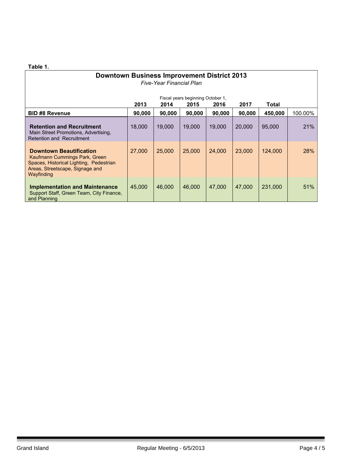#### **Table 1.**

| <b>Downtown Business Improvement District 2013</b><br>Five-Year Financial Plan                                                                              |                                                                                    |        |        |        |        |         |         |
|-------------------------------------------------------------------------------------------------------------------------------------------------------------|------------------------------------------------------------------------------------|--------|--------|--------|--------|---------|---------|
|                                                                                                                                                             | Fiscal years beginning October 1,<br>2013<br>2015<br>2014<br>2016<br>2017<br>Total |        |        |        |        |         |         |
| <b>BID #8 Revenue</b>                                                                                                                                       | 90,000                                                                             | 90,000 | 90,000 | 90,000 | 90,000 | 450,000 | 100.00% |
| <b>Retention and Recruitment</b><br>Main Street Promotions, Advertising,<br>Retention and Recruitment                                                       | 18,000                                                                             | 19,000 | 19,000 | 19,000 | 20,000 | 95,000  | 21%     |
| <b>Downtown Beautification</b><br>Kaufmann Cummings Park, Green<br>Spaces, Historical Lighting, Pedestrian<br>Areas, Streetscape, Signage and<br>Wayfinding | 27,000                                                                             | 25,000 | 25,000 | 24,000 | 23,000 | 124,000 | 28%     |
| <b>Implementation and Maintenance</b><br>Support Staff, Green Team, City Finance,<br>and Planning                                                           | 45,000                                                                             | 46,000 | 46,000 | 47,000 | 47,000 | 231,000 | 51%     |